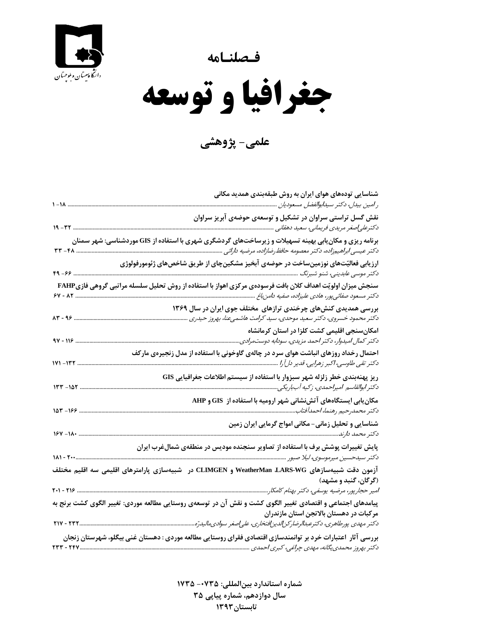**فـصلنـامه** 



 $\overline{\phantom{a}}$ **جغرافيا و توسعه** 

**علمي- پژوهشي**

| نقش گسل تراستی سراوان در تشکیل و توسعهی حوضهی آبریز سراوان<br>برنامه ریزی و مکان ِبابی بهینه تسهیلات و زیرساختهای گردشگری شهری با استفاده از GIS موردشناسی: شهر سمنان<br>ارزیابی فعالیّتهای نوزمینساخت در حوضهی آبخیز مشکینچای از طریق شاخصهای ژئومورفولوژی<br>$49 - 99$ .<br>سنجش میزان اولویّت اهداف کلان بافت فرسودهی مرکزی اهواز با استفاده از روش تحلیل سلسله مراتبی گروهی فازیFAHP<br>بررسی همدیدی کنشهای چرخندی ترازهای مختلف جوی ایران در سال ۱۳۶۹<br>دکتر محمود خسروی، دکتر سعید موحدی، سید کرامت هاشمیعنا، بهروز حیدری<br>امکانسنجی اقلیمی کشت کلزا در استان کرمانشاه<br>دکتر کمال امیدوار، دکتر احمد مزیدی، سودابه دوستمرادی<br>احتمال رخداد روزهای انباشت هوای سرد در چالهی گاوخونی با استفاده از مدل زنجیرهی مارکف<br>ریز پهنهبندی خطر زلزله شهر سبزوار با استفاده از سیستم اطلاعات جغرافیایی GIS<br>$157 - 107$<br>مکان بابی ایستگاههای آتشنشانی شهر ارومیه با استفاده از  GIS و AHP<br>$107 - 199$<br>شناسایی و تحلیل زمانی- مکانی امواج گرمایی ایران زمین<br>پایش تغییرات پوشش برف با استفاده از تصاویر سنجنده مودیس در منطقهی شمالءغرب ایران<br>آزمون دقت شبیهسازهای WeatherMan ،LARS-WG و CLIMGEN در  شبیهسازی پارامترهای اقلیمی سه اقلیم مختلف<br>(گرگان، گنبد و مشهد)<br>پیامدهای اجتماعی و اقتصادی تغییر الگوی کشت و نقش آن در توسعهی روستایی مطالعه موردی: تغییر الگوی کشت برنج به<br>مرکبات در دهستان بالاتجن استان مازندران<br>بررسی آثار ٔاعتبارات خرد بر توانمندسازی اقتصادی فقرای روستایی مطالعه موردی : دهستان غنی بیگلو، شهرستان زنجان<br>TTT - TFV | شناسایی تودههای هوای ایران به روش طبقهبندی همدید مکانی |
|----------------------------------------------------------------------------------------------------------------------------------------------------------------------------------------------------------------------------------------------------------------------------------------------------------------------------------------------------------------------------------------------------------------------------------------------------------------------------------------------------------------------------------------------------------------------------------------------------------------------------------------------------------------------------------------------------------------------------------------------------------------------------------------------------------------------------------------------------------------------------------------------------------------------------------------------------------------------------------------------------------------------------------------------------------------------------------------------------------------------------------------------------------------------------------------------------------------------------------------------------------------------------------------------------------------------------------------------------------------------------------------------------------------------------------------------------------------------------------|--------------------------------------------------------|
|                                                                                                                                                                                                                                                                                                                                                                                                                                                                                                                                                                                                                                                                                                                                                                                                                                                                                                                                                                                                                                                                                                                                                                                                                                                                                                                                                                                                                                                                                  |                                                        |
|                                                                                                                                                                                                                                                                                                                                                                                                                                                                                                                                                                                                                                                                                                                                                                                                                                                                                                                                                                                                                                                                                                                                                                                                                                                                                                                                                                                                                                                                                  |                                                        |
|                                                                                                                                                                                                                                                                                                                                                                                                                                                                                                                                                                                                                                                                                                                                                                                                                                                                                                                                                                                                                                                                                                                                                                                                                                                                                                                                                                                                                                                                                  |                                                        |
|                                                                                                                                                                                                                                                                                                                                                                                                                                                                                                                                                                                                                                                                                                                                                                                                                                                                                                                                                                                                                                                                                                                                                                                                                                                                                                                                                                                                                                                                                  |                                                        |
|                                                                                                                                                                                                                                                                                                                                                                                                                                                                                                                                                                                                                                                                                                                                                                                                                                                                                                                                                                                                                                                                                                                                                                                                                                                                                                                                                                                                                                                                                  |                                                        |
|                                                                                                                                                                                                                                                                                                                                                                                                                                                                                                                                                                                                                                                                                                                                                                                                                                                                                                                                                                                                                                                                                                                                                                                                                                                                                                                                                                                                                                                                                  |                                                        |
|                                                                                                                                                                                                                                                                                                                                                                                                                                                                                                                                                                                                                                                                                                                                                                                                                                                                                                                                                                                                                                                                                                                                                                                                                                                                                                                                                                                                                                                                                  |                                                        |
|                                                                                                                                                                                                                                                                                                                                                                                                                                                                                                                                                                                                                                                                                                                                                                                                                                                                                                                                                                                                                                                                                                                                                                                                                                                                                                                                                                                                                                                                                  |                                                        |
|                                                                                                                                                                                                                                                                                                                                                                                                                                                                                                                                                                                                                                                                                                                                                                                                                                                                                                                                                                                                                                                                                                                                                                                                                                                                                                                                                                                                                                                                                  |                                                        |
|                                                                                                                                                                                                                                                                                                                                                                                                                                                                                                                                                                                                                                                                                                                                                                                                                                                                                                                                                                                                                                                                                                                                                                                                                                                                                                                                                                                                                                                                                  |                                                        |
|                                                                                                                                                                                                                                                                                                                                                                                                                                                                                                                                                                                                                                                                                                                                                                                                                                                                                                                                                                                                                                                                                                                                                                                                                                                                                                                                                                                                                                                                                  |                                                        |
|                                                                                                                                                                                                                                                                                                                                                                                                                                                                                                                                                                                                                                                                                                                                                                                                                                                                                                                                                                                                                                                                                                                                                                                                                                                                                                                                                                                                                                                                                  |                                                        |
|                                                                                                                                                                                                                                                                                                                                                                                                                                                                                                                                                                                                                                                                                                                                                                                                                                                                                                                                                                                                                                                                                                                                                                                                                                                                                                                                                                                                                                                                                  |                                                        |
|                                                                                                                                                                                                                                                                                                                                                                                                                                                                                                                                                                                                                                                                                                                                                                                                                                                                                                                                                                                                                                                                                                                                                                                                                                                                                                                                                                                                                                                                                  |                                                        |
|                                                                                                                                                                                                                                                                                                                                                                                                                                                                                                                                                                                                                                                                                                                                                                                                                                                                                                                                                                                                                                                                                                                                                                                                                                                                                                                                                                                                                                                                                  |                                                        |

**شماره استاندارد بينالمللي: -0735 <sup>1735</sup> سال دوازدهم، شماره پياپي 35 تابستان1393**